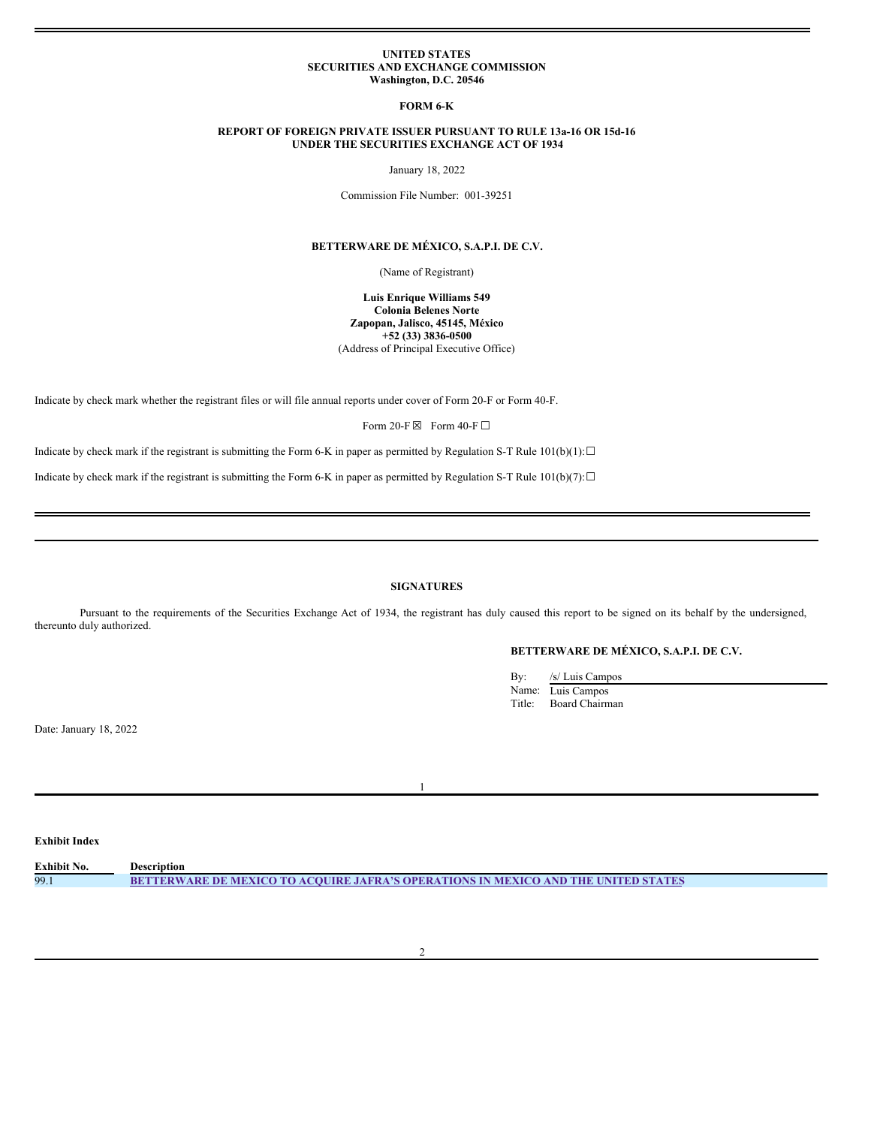#### **UNITED STATES SECURITIES AND EXCHANGE COMMISSION Washington, D.C. 20546**

#### **FORM 6-K**

### **REPORT OF FOREIGN PRIVATE ISSUER PURSUANT TO RULE 13a-16 OR 15d-16 UNDER THE SECURITIES EXCHANGE ACT OF 1934**

January 18, 2022

Commission File Number: 001-39251

### **BETTERWARE DE MÉXICO, S.A.P.I. DE C.V.**

(Name of Registrant)

**Luis Enrique Williams 549 Colonia Belenes Norte Zapopan, Jalisco, 45145, México +52 (33) 3836-0500** (Address of Principal Executive Office)

Indicate by check mark whether the registrant files or will file annual reports under cover of Form 20-F or Form 40-F.

Form 20-F  $\boxtimes$  Form 40-F  $\Box$ 

Indicate by check mark if the registrant is submitting the Form 6-K in paper as permitted by Regulation S-T Rule 101(b)(1): $\Box$ 

Indicate by check mark if the registrant is submitting the Form 6-K in paper as permitted by Regulation S-T Rule 101(b)(7): $\Box$ 

## **SIGNATURES**

Pursuant to the requirements of the Securities Exchange Act of 1934, the registrant has duly caused this report to be signed on its behalf by the undersigned, thereunto duly authorized.

# **BETTERWARE DE MÉXICO, S.A.P.I. DE C.V.**

| By:    | /s/ Luis Campos   |
|--------|-------------------|
|        | Name: Luis Campos |
| Title: | Board Chairman    |
|        |                   |

Date: January 18, 2022

1

## **Exhibit Index**

| Exhibit No. | Description                                                                               |
|-------------|-------------------------------------------------------------------------------------------|
| 99.1        | <b>BETTERWARE DE MEXICO TO ACOUIRE JAFRA'S OPERATIONS IN MEXICO AND THE UNITED STATES</b> |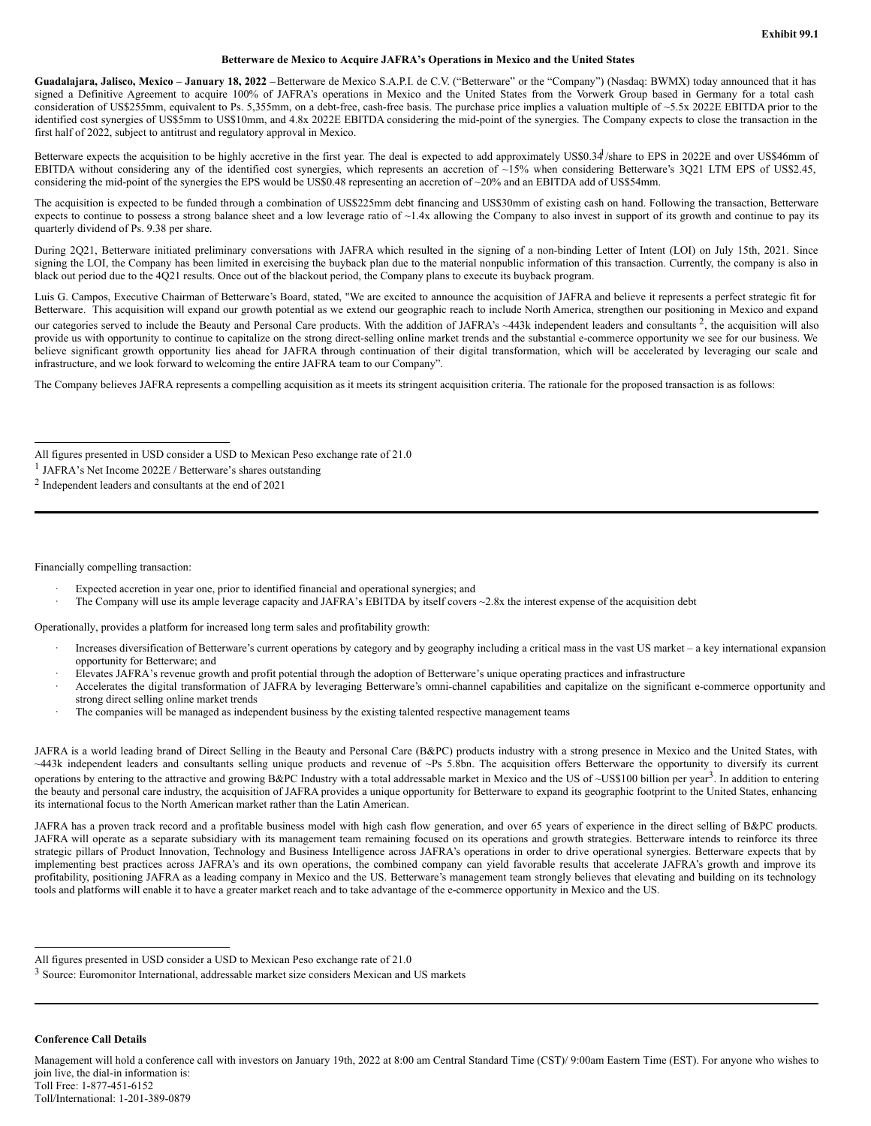## **Betterware de Mexico to Acquire JAFRA's Operations in Mexico and the United States**

**Guadalajara, Jalisco, Mexico – January 18, 2022 –**Betterware de Mexico S.A.P.I. de C.V. ("Betterware" or the "Company") (Nasdaq: BWMX) today announced that it has signed a Definitive Agreement to acquire 100% of JAFRA's operations in Mexico and the United States from the Vorwerk Group based in Germany for a total cash consideration of US\$255mm, equivalent to Ps. 5,355mm, on a debt-free, cash-free basis. The purchase price implies a valuation multiple of ~5.5x 2022E EBITDA prior to the identified cost synergies of US\$5mm to US\$10mm, and 4.8x 2022E EBITDA considering the mid-point of the synergies. The Company expects to close the transaction in the first half of 2022, subject to antitrust and regulatory approval in Mexico.

Betterware expects the acquisition to be highly accretive in the first year. The deal is expected to add approximately US\$0.34 /share to EPS in 2022E and over US\$46mm of EBITDA without considering any of the identified cost synergies, which represents an accretion of  $\sim 15\%$  when considering Betterware's 3Q21 LTM EPS of US\$2.45, considering the mid-point of the synergies the EPS would be US\$0.48 representing an accretion of ~20% and an EBITDA add of US\$54mm.

The acquisition is expected to be funded through a combination of US\$225mm debt financing and US\$30mm of existing cash on hand. Following the transaction, Betterware expects to continue to possess a strong balance sheet and a low leverage ratio of ~1.4x allowing the Company to also invest in support of its growth and continue to pay its quarterly dividend of Ps. 9.38 per share.

During 2Q21, Betterware initiated preliminary conversations with JAFRA which resulted in the signing of a non-binding Letter of Intent (LOI) on July 15th, 2021. Since signing the LOI, the Company has been limited in exercising the buyback plan due to the material nonpublic information of this transaction. Currently, the company is also in black out period due to the 4Q21 results. Once out of the blackout period, the Company plans to execute its buyback program.

Luis G. Campos, Executive Chairman of Betterware's Board, stated, "We are excited to announce the acquisition of JAFRA and believe it represents a perfect strategic fit for Betterware. This acquisition will expand our growth potential as we extend our geographic reach to include North America, strengthen our positioning in Mexico and expand our categories served to include the Beauty and Personal Care products. With the addition of JAFRA's  $\sim$ 443k independent leaders and consultants<sup>2</sup>, the acquisition will also provide us with opportunity to continue to capitalize on the strong direct-selling online market trends and the substantial e-commerce opportunity we see for our business. We believe significant growth opportunity lies ahead for JAFRA through continuation of their digital transformation, which will be accelerated by leveraging our scale and infrastructure, and we look forward to welcoming the entire JAFRA team to our Company".

The Company believes JAFRA represents a compelling acquisition as it meets its stringent acquisition criteria. The rationale for the proposed transaction is as follows:

1 JAFRA's Net Income 2022E / Betterware's shares outstanding

Financially compelling transaction:

- Expected accretion in year one, prior to identified financial and operational synergies; and
- The Company will use its ample leverage capacity and JAFRA's EBITDA by itself covers ~2.8x the interest expense of the acquisition debt

Operationally, provides a platform for increased long term sales and profitability growth:

- · Increases diversification of Betterware's current operations by category and by geography including a critical mass in the vast US market a key international expansion opportunity for Betterware; and
- · Elevates JAFRA's revenue growth and profit potential through the adoption of Betterware's unique operating practices and infrastructure
- · Accelerates the digital transformation of JAFRA by leveraging Betterware's omni-channel capabilities and capitalize on the significant e-commerce opportunity and strong direct selling online market trends
- The companies will be managed as independent business by the existing talented respective management teams

JAFRA is a world leading brand of Direct Selling in the Beauty and Personal Care (B&PC) products industry with a strong presence in Mexico and the United States, with ~443k independent leaders and consultants selling unique products and revenue of ~Ps 5.8bn. The acquisition offers Betterware the opportunity to diversify its current operations by entering to the attractive and growing B&PC Industry with a total addressable market in Mexico and the US of ~US\$100 billion per year<sup>3</sup>. In addition to entering the beauty and personal care industry, the acquisition of JAFRA provides a unique opportunity for Betterware to expand its geographic footprint to the United States, enhancing its international focus to the North American market rather than the Latin American.

JAFRA has a proven track record and a profitable business model with high cash flow generation, and over 65 years of experience in the direct selling of B&PC products. JAFRA will operate as a separate subsidiary with its management team remaining focused on its operations and growth strategies. Betterware intends to reinforce its three strategic pillars of Product Innovation, Technology and Business Intelligence across JAFRA's operations in order to drive operational synergies. Betterware expects that by implementing best practices across JAFRA's and its own operations, the combined company can yield favorable results that accelerate JAFRA's growth and improve its profitability, positioning JAFRA as a leading company in Mexico and the US. Betterware's management team strongly believes that elevating and building on its technology tools and platforms will enable it to have a greater market reach and to take advantage of the e-commerce opportunity in Mexico and the US.

**Conference Call Details**

Management will hold a conference call with investors on January 19th, 2022 at 8:00 am Central Standard Time (CST)/ 9:00am Eastern Time (EST). For anyone who wishes to join live, the dial-in information is: Toll Free: 1-877-451-6152 Toll/International: 1-201-389-0879

All figures presented in USD consider a USD to Mexican Peso exchange rate of 21.0

<sup>2</sup> Independent leaders and consultants at the end of 2021

All figures presented in USD consider a USD to Mexican Peso exchange rate of 21.0

<sup>3</sup> Source: Euromonitor International, addressable market size considers Mexican and US markets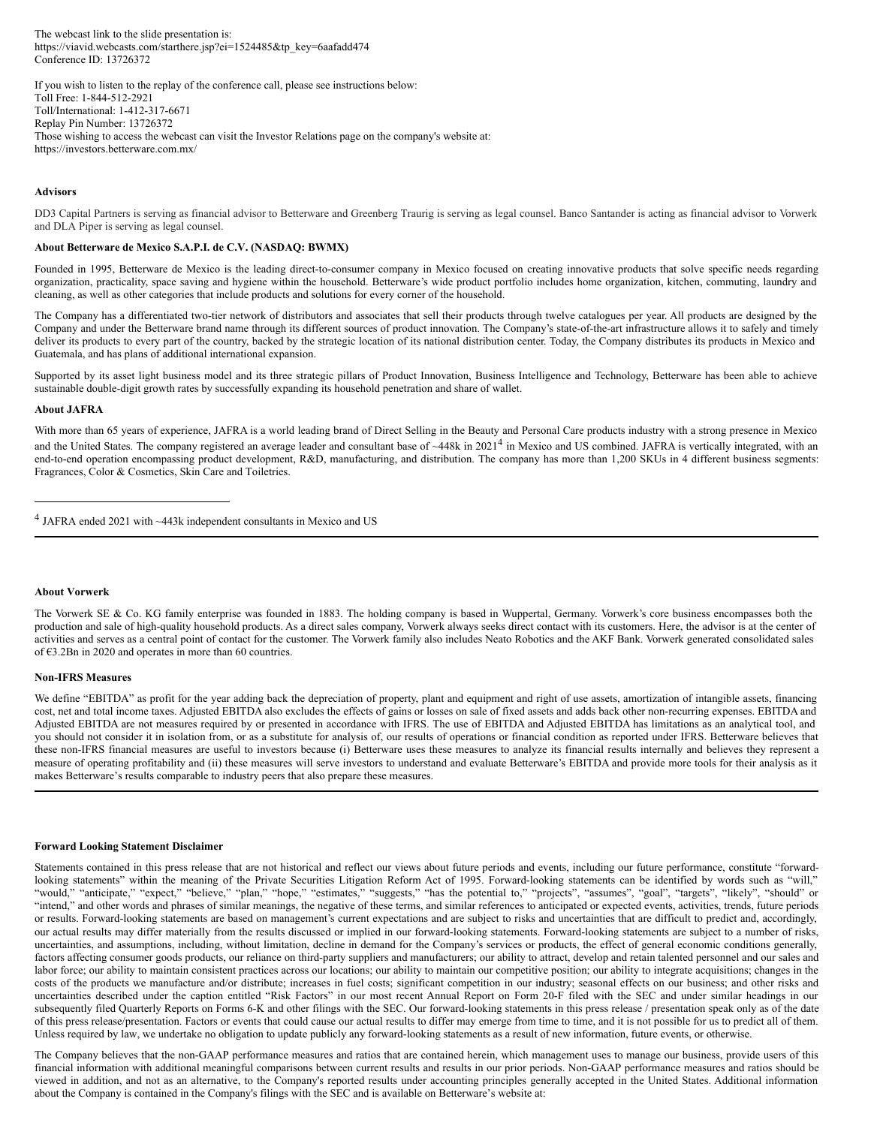<span id="page-2-0"></span>The webcast link to the slide presentation is: https://viavid.webcasts.com/starthere.jsp?ei=1524485&tp\_key=6aafadd474 Conference ID: 13726372

If you wish to listen to the replay of the conference call, please see instructions below: Toll Free: 1-844-512-2921 Toll/International: 1-412-317-6671 Replay Pin Number: 13726372 Those wishing to access the webcast can visit the Investor Relations page on the company's website at: https://investors.betterware.com.mx/

#### **Advisors**

DD3 Capital Partners is serving as financial advisor to Betterware and Greenberg Traurig is serving as legal counsel. Banco Santander is acting as financial advisor to Vorwerk and DLA Piper is serving as legal counsel.

### **About Betterware de Mexico S.A.P.I. de C.V. (NASDAQ: BWMX)**

Founded in 1995, Betterware de Mexico is the leading direct-to-consumer company in Mexico focused on creating innovative products that solve specific needs regarding organization, practicality, space saving and hygiene within the household. Betterware's wide product portfolio includes home organization, kitchen, commuting, laundry and cleaning, as well as other categories that include products and solutions for every corner of the household.

The Company has a differentiated two-tier network of distributors and associates that sell their products through twelve catalogues per year. All products are designed by the Company and under the Betterware brand name through its different sources of product innovation. The Company's state-of-the-art infrastructure allows it to safely and timely deliver its products to every part of the country, backed by the strategic location of its national distribution center. Today, the Company distributes its products in Mexico and Guatemala, and has plans of additional international expansion.

Supported by its asset light business model and its three strategic pillars of Product Innovation, Business Intelligence and Technology, Betterware has been able to achieve sustainable double-digit growth rates by successfully expanding its household penetration and share of wallet.

#### **About JAFRA**

With more than 65 years of experience, JAFRA is a world leading brand of Direct Selling in the Beauty and Personal Care products industry with a strong presence in Mexico and the United States. The company registered an average leader and consultant base of ~448k in 2021<sup>4</sup> in Mexico and US combined. JAFRA is vertically integrated, with an end-to-end operation encompassing product development, R&D, manufacturing, and distribution. The company has more than 1,200 SKUs in 4 different business segments: Fragrances, Color & Cosmetics, Skin Care and Toiletries.

### **About Vorwerk**

The Vorwerk SE & Co. KG family enterprise was founded in 1883. The holding company is based in Wuppertal, Germany. Vorwerk's core business encompasses both the production and sale of high-quality household products. As a direct sales company, Vorwerk always seeks direct contact with its customers. Here, the advisor is at the center of activities and serves as a central point of contact for the customer. The Vorwerk family also includes Neato Robotics and the AKF Bank. Vorwerk generated consolidated sales of  $63.2Bn$  in 2020 and operates in more than 60 countries.

### **Non-IFRS Measures**

We define "EBITDA" as profit for the year adding back the depreciation of property, plant and equipment and right of use assets, amortization of intangible assets, financing cost, net and total income taxes. Adjusted EBITDA also excludes the effects of gains or losses on sale of fixed assets and adds back other non-recurring expenses. EBITDA and Adjusted EBITDA are not measures required by or presented in accordance with IFRS. The use of EBITDA and Adjusted EBITDA has limitations as an analytical tool, and you should not consider it in isolation from, or as a substitute for analysis of, our results of operations or financial condition as reported under IFRS. Betterware believes that these non-IFRS financial measures are useful to investors because (i) Betterware uses these measures to analyze its financial results internally and believes they represent a measure of operating profitability and (ii) these measures will serve investors to understand and evaluate Betterware's EBITDA and provide more tools for their analysis as it makes Betterware's results comparable to industry peers that also prepare these measures.

#### **Forward Looking Statement Disclaimer**

Statements contained in this press release that are not historical and reflect our views about future periods and events, including our future performance, constitute "forwardlooking statements" within the meaning of the Private Securities Litigation Reform Act of 1995. Forward-looking statements can be identified by words such as "will," "would," "anticipate," "expect," "believe," "plan," "hope," "estimates," "suggests," "has the potential to," "projects", "assumes", "goal", "targets", "likely", "should" or "intend," and other words and phrases of similar meanings, the negative of these terms, and similar references to anticipated or expected events, activities, trends, future periods or results. Forward-looking statements are based on management's current expectations and are subject to risks and uncertainties that are difficult to predict and, accordingly, our actual results may differ materially from the results discussed or implied in our forward-looking statements. Forward-looking statements are subject to a number of risks, uncertainties, and assumptions, including, without limitation, decline in demand for the Company's services or products, the effect of general economic conditions generally, factors affecting consumer goods products, our reliance on third-party suppliers and manufacturers; our ability to attract, develop and retain talented personnel and our sales and labor force; our ability to maintain consistent practices across our locations; our ability to maintain our competitive position; our ability to integrate acquisitions; changes in the costs of the products we manufacture and/or distribute; increases in fuel costs; significant competition in our industry; seasonal effects on our business; and other risks and uncertainties described under the caption entitled "Risk Factors" in our most recent Annual Report on Form 20-F filed with the SEC and under similar headings in our subsequently filed Quarterly Reports on Forms 6-K and other filings with the SEC. Our forward-looking statements in this press release / presentation speak only as of the date of this press release/presentation. Factors or events that could cause our actual results to differ may emerge from time to time, and it is not possible for us to predict all of them. Unless required by law, we undertake no obligation to update publicly any forward-looking statements as a result of new information, future events, or otherwise.

The Company believes that the non-GAAP performance measures and ratios that are contained herein, which management uses to manage our business, provide users of this financial information with additional meaningful comparisons between current results and results in our prior periods. Non-GAAP performance measures and ratios should be viewed in addition, and not as an alternative, to the Company's reported results under accounting principles generally accepted in the United States. Additional information about the Company is contained in the Company's filings with the SEC and is available on Betterware's website at:

<sup>4</sup> JAFRA ended 2021 with ~443k independent consultants in Mexico and US